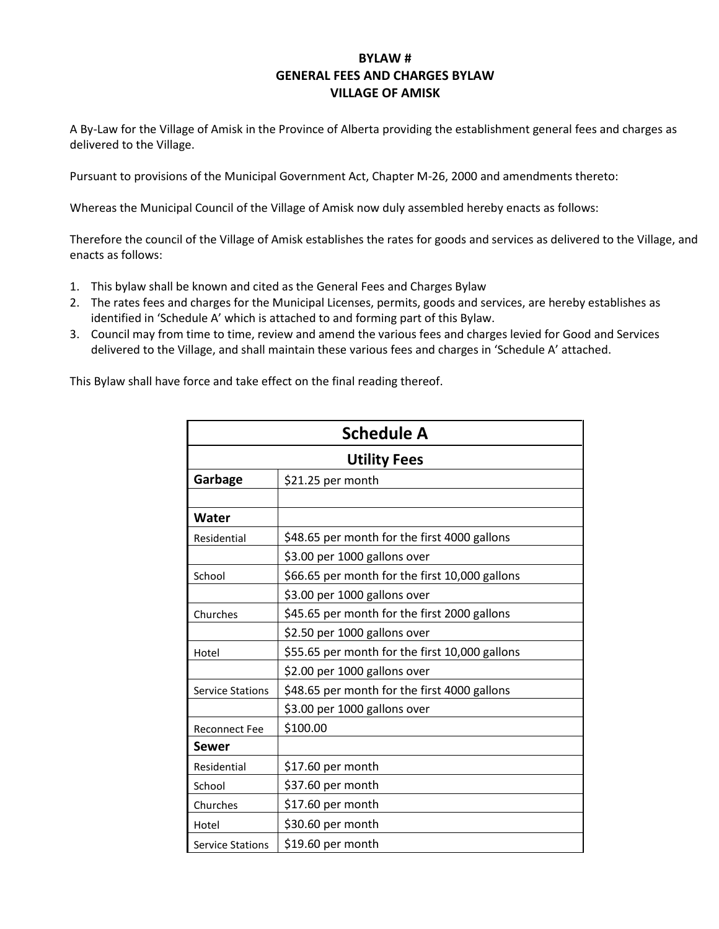## **BYLAW # GENERAL FEES AND CHARGES BYLAW VILLAGE OF AMISK**

A By-Law for the Village of Amisk in the Province of Alberta providing the establishment general fees and charges as delivered to the Village.

Pursuant to provisions of the Municipal Government Act, Chapter M-26, 2000 and amendments thereto:

Whereas the Municipal Council of the Village of Amisk now duly assembled hereby enacts as follows:

Therefore the council of the Village of Amisk establishes the rates for goods and services as delivered to the Village, and enacts as follows:

- 1. This bylaw shall be known and cited as the General Fees and Charges Bylaw
- 2. The rates fees and charges for the Municipal Licenses, permits, goods and services, are hereby establishes as identified in 'Schedule A' which is attached to and forming part of this Bylaw.
- 3. Council may from time to time, review and amend the various fees and charges levied for Good and Services delivered to the Village, and shall maintain these various fees and charges in 'Schedule A' attached.

This Bylaw shall have force and take effect on the final reading thereof.

| <b>Schedule A</b>       |                                                |  |  |  |
|-------------------------|------------------------------------------------|--|--|--|
| <b>Utility Fees</b>     |                                                |  |  |  |
| Garbage                 | \$21.25 per month                              |  |  |  |
|                         |                                                |  |  |  |
| Water                   |                                                |  |  |  |
| Residential             | \$48.65 per month for the first 4000 gallons   |  |  |  |
|                         | \$3.00 per 1000 gallons over                   |  |  |  |
| School                  | \$66.65 per month for the first 10,000 gallons |  |  |  |
|                         | \$3.00 per 1000 gallons over                   |  |  |  |
| Churches                | \$45.65 per month for the first 2000 gallons   |  |  |  |
|                         | \$2.50 per 1000 gallons over                   |  |  |  |
| Hotel                   | \$55.65 per month for the first 10,000 gallons |  |  |  |
|                         | \$2.00 per 1000 gallons over                   |  |  |  |
| <b>Service Stations</b> | \$48.65 per month for the first 4000 gallons   |  |  |  |
|                         | \$3.00 per 1000 gallons over                   |  |  |  |
| <b>Reconnect Fee</b>    | \$100.00                                       |  |  |  |
| Sewer                   |                                                |  |  |  |
| Residential             | \$17.60 per month                              |  |  |  |
| School                  | \$37.60 per month                              |  |  |  |
| Churches                | \$17.60 per month                              |  |  |  |
| Hotel                   | \$30.60 per month                              |  |  |  |
| <b>Service Stations</b> | \$19.60 per month                              |  |  |  |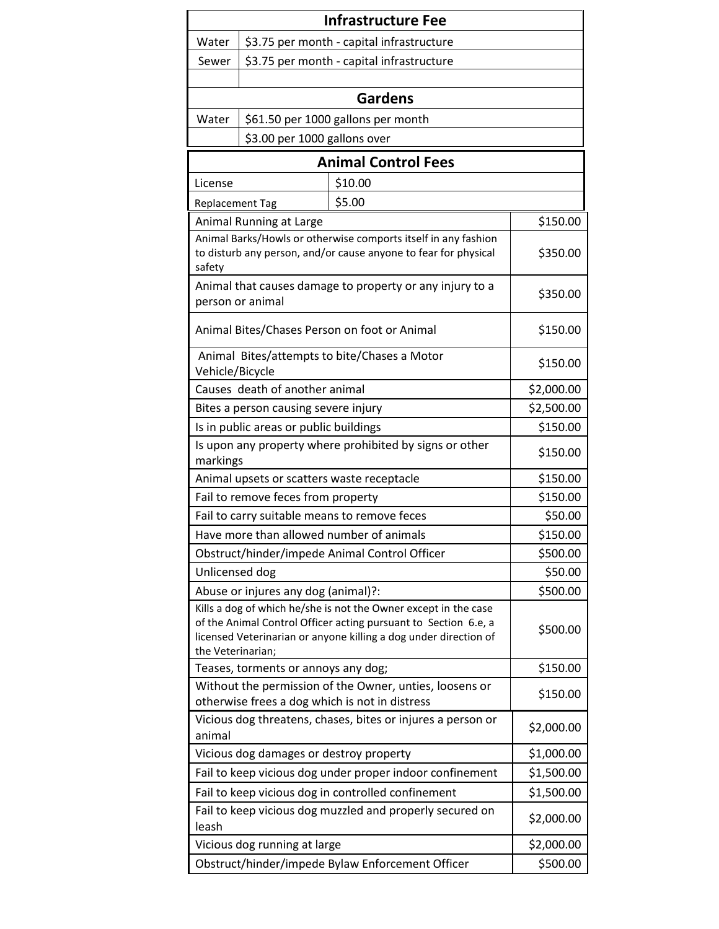|                                                                                                                                                                                                        |                                           | <b>Infrastructure Fee</b>                 |            |  |  |
|--------------------------------------------------------------------------------------------------------------------------------------------------------------------------------------------------------|-------------------------------------------|-------------------------------------------|------------|--|--|
| Water                                                                                                                                                                                                  |                                           | \$3.75 per month - capital infrastructure |            |  |  |
| Sewer                                                                                                                                                                                                  | \$3.75 per month - capital infrastructure |                                           |            |  |  |
|                                                                                                                                                                                                        |                                           |                                           |            |  |  |
|                                                                                                                                                                                                        |                                           | <b>Gardens</b>                            |            |  |  |
| Water                                                                                                                                                                                                  |                                           | \$61.50 per 1000 gallons per month        |            |  |  |
|                                                                                                                                                                                                        | \$3.00 per 1000 gallons over              |                                           |            |  |  |
|                                                                                                                                                                                                        |                                           | <b>Animal Control Fees</b>                |            |  |  |
| License                                                                                                                                                                                                | \$10.00                                   |                                           |            |  |  |
| \$5.00<br><b>Replacement Tag</b>                                                                                                                                                                       |                                           |                                           |            |  |  |
|                                                                                                                                                                                                        | Animal Running at Large                   |                                           |            |  |  |
| Animal Barks/Howls or otherwise comports itself in any fashion<br>to disturb any person, and/or cause anyone to fear for physical                                                                      | \$350.00                                  |                                           |            |  |  |
| safety                                                                                                                                                                                                 |                                           |                                           |            |  |  |
| Animal that causes damage to property or any injury to a<br>person or animal                                                                                                                           | \$350.00                                  |                                           |            |  |  |
| Animal Bites/Chases Person on foot or Animal                                                                                                                                                           | \$150.00                                  |                                           |            |  |  |
| Animal Bites/attempts to bite/Chases a Motor<br>Vehicle/Bicycle                                                                                                                                        | \$150.00                                  |                                           |            |  |  |
| Causes death of another animal                                                                                                                                                                         | \$2,000.00                                |                                           |            |  |  |
|                                                                                                                                                                                                        | Bites a person causing severe injury      |                                           | \$2,500.00 |  |  |
| Is in public areas or public buildings                                                                                                                                                                 | \$150.00                                  |                                           |            |  |  |
| Is upon any property where prohibited by signs or other<br>markings                                                                                                                                    | \$150.00                                  |                                           |            |  |  |
| Animal upsets or scatters waste receptacle                                                                                                                                                             | \$150.00                                  |                                           |            |  |  |
| Fail to remove feces from property                                                                                                                                                                     | \$150.00                                  |                                           |            |  |  |
| Fail to carry suitable means to remove feces                                                                                                                                                           | \$50.00                                   |                                           |            |  |  |
| Have more than allowed number of animals                                                                                                                                                               | \$150.00                                  |                                           |            |  |  |
| Obstruct/hinder/impede Animal Control Officer                                                                                                                                                          | \$500.00                                  |                                           |            |  |  |
| Unlicensed dog                                                                                                                                                                                         | \$50.00                                   |                                           |            |  |  |
| Abuse or injures any dog (animal)?:                                                                                                                                                                    | \$500.00                                  |                                           |            |  |  |
| Kills a dog of which he/she is not the Owner except in the case<br>of the Animal Control Officer acting pursuant to Section 6.e, a<br>licensed Veterinarian or anyone killing a dog under direction of | \$500.00                                  |                                           |            |  |  |
| the Veterinarian;                                                                                                                                                                                      |                                           |                                           |            |  |  |
| Teases, torments or annoys any dog;                                                                                                                                                                    |                                           |                                           | \$150.00   |  |  |
| Without the permission of the Owner, unties, loosens or<br>otherwise frees a dog which is not in distress                                                                                              |                                           |                                           | \$150.00   |  |  |
| Vicious dog threatens, chases, bites or injures a person or<br>animal                                                                                                                                  | \$2,000.00                                |                                           |            |  |  |
| Vicious dog damages or destroy property                                                                                                                                                                | \$1,000.00                                |                                           |            |  |  |
| Fail to keep vicious dog under proper indoor confinement                                                                                                                                               | \$1,500.00                                |                                           |            |  |  |
| Fail to keep vicious dog in controlled confinement                                                                                                                                                     | \$1,500.00                                |                                           |            |  |  |
| Fail to keep vicious dog muzzled and properly secured on<br>\$2,000.00<br>leash                                                                                                                        |                                           |                                           |            |  |  |
| \$2,000.00<br>Vicious dog running at large                                                                                                                                                             |                                           |                                           |            |  |  |
| Obstruct/hinder/impede Bylaw Enforcement Officer                                                                                                                                                       | \$500.00                                  |                                           |            |  |  |